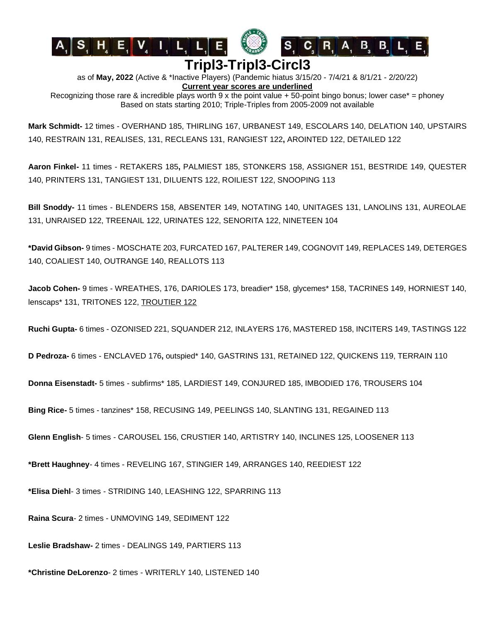





## **Tripl3-Tripl3-Circl3**

as of **May, 2022** (Active & \*Inactive Players) (Pandemic hiatus 3/15/20 - 7/4/21 & 8/1/21 - 2/20/22) **Current year scores are underlined**

Recognizing those rare & incredible plays worth 9 x the point value  $+50$ -point bingo bonus; lower case<sup>\*</sup> = phoney Based on stats starting 2010; Triple-Triples from 2005-2009 not available

**Mark Schmidt-** 12 times - OVERHAND 185, THIRLING 167, URBANEST 149, ESCOLARS 140, DELATION 140, UPSTAIRS 140, RESTRAIN 131, REALISES, 131, RECLEANS 131, RANGIEST 122**,** AROINTED 122, DETAILED 122

**Aaron Finkel-** 11 times - RETAKERS 185**,** PALMIEST 185, STONKERS 158, ASSIGNER 151, BESTRIDE 149, QUESTER 140, PRINTERS 131, TANGIEST 131, DILUENTS 122, ROILIEST 122, SNOOPING 113

**Bill Snoddy-** 11 times - BLENDERS 158, ABSENTER 149, NOTATING 140, UNITAGES 131, LANOLINS 131, AUREOLAE 131, UNRAISED 122, TREENAIL 122, URINATES 122, SENORITA 122, NINETEEN 104

**\*David Gibson-** 9 times - MOSCHATE 203, FURCATED 167, PALTERER 149, COGNOVIT 149, REPLACES 149, DETERGES 140, COALIEST 140, OUTRANGE 140, REALLOTS 113

**Jacob Cohen-** 9 times - WREATHES, 176, DARIOLES 173, breadier\* 158, glycemes\* 158, TACRINES 149, HORNIEST 140, lenscaps\* 131, TRITONES 122, TROUTIER 122

**Ruchi Gupta-** 6 times - OZONISED 221, SQUANDER 212, INLAYERS 176, MASTERED 158, INCITERS 149, TASTINGS 122

**D Pedroza-** 6 times - ENCLAVED 176**,** outspied\* 140, GASTRINS 131, RETAINED 122, QUICKENS 119, TERRAIN 110

**Donna Eisenstadt-** 5 times - subfirms\* 185, LARDIEST 149, CONJURED 185, IMBODIED 176, TROUSERS 104

**Bing Rice-** 5 times - tanzines\* 158, RECUSING 149, PEELINGS 140, SLANTING 131, REGAINED 113

**Glenn English**- 5 times - CAROUSEL 156, CRUSTIER 140, ARTISTRY 140, INCLINES 125, LOOSENER 113

**\*Brett Haughney**- 4 times - REVELING 167, STINGIER 149, ARRANGES 140, REEDIEST 122

**\*Elisa Diehl**- 3 times - STRIDING 140, LEASHING 122, SPARRING 113

**Raina Scura**- 2 times - UNMOVING 149, SEDIMENT 122

**Leslie Bradshaw-** 2 times - DEALINGS 149, PARTIERS 113

**\*Christine DeLorenzo**- 2 times - WRITERLY 140, LISTENED 140